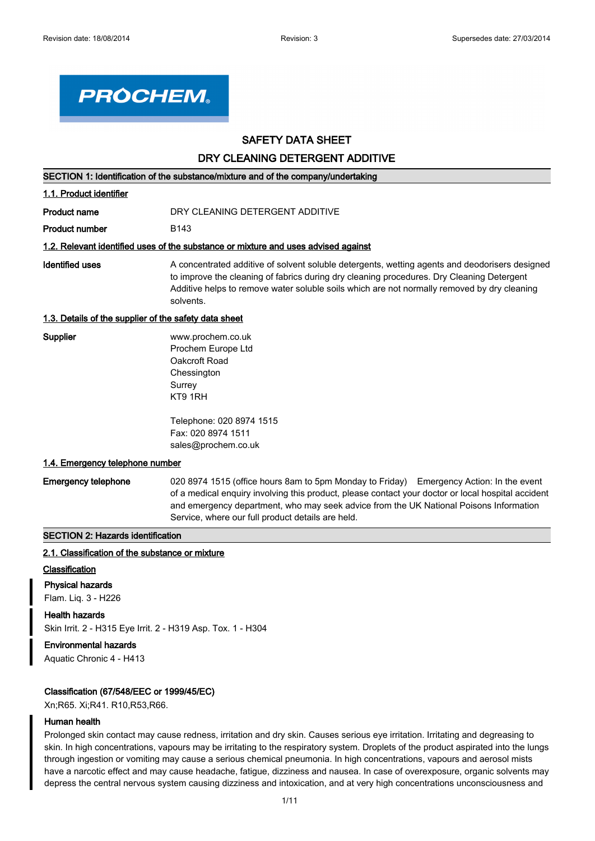

# **SAFETY DATA SHEET**

## **DRY CLEANING DETERGENT ADDITIVE**

**SECTION 1: Identification of the substance/mixture and of the company/undertaking**

### **1.1. Product identifier**

**Product name Manufation DRY CLEANING DETERGENT ADDITIVE** 

**Product number** B143

#### **1.2. Relevant identified uses of the substance or mixture and uses advised against**

A concentrated additive of solvent soluble detergents, wetting agents and deodorisers designed to improve the cleaning of fabrics during dry cleaning procedures. Dry Cleaning Detergent Additive helps to remove water soluble soils which are not normally removed by dry cleaning solvents. **Identified uses**

### **1.3. Details of the supplier of the safety data sheet**

| Supplier | www.prochem.co.uk  |
|----------|--------------------|
|          | Prochem Europe Ltd |
|          | Oakcroft Road      |
|          | Chessington        |
|          | Surrey             |
|          | KT9 1RH            |

Telephone: 020 8974 1515 Fax: 020 8974 1511 sales@prochem.co.uk

#### **1.4. Emergency telephone number**

**Emergency telephone**

020 8974 1515 (office hours 8am to 5pm Monday to Friday) Emergency Action: In the event of a medical enquiry involving this product, please contact your doctor or local hospital accident and emergency department, who may seek advice from the UK National Poisons Information Service, where our full product details are held.

#### **SECTION 2: Hazards identification**

#### **2.1. Classification of the substance or mixture**

### **Classification**

**Physical hazards**

Flam. Liq. 3 - H226

**Health hazards**

Skin Irrit. 2 - H315 Eye Irrit. 2 - H319 Asp. Tox. 1 - H304

### **Environmental hazards**

Aquatic Chronic 4 - H413

#### **Classification (67/548/EEC or 1999/45/EC)**

Xn;R65. Xi;R41. R10,R53,R66.

### **Human health**

Prolonged skin contact may cause redness, irritation and dry skin. Causes serious eye irritation. Irritating and degreasing to skin. In high concentrations, vapours may be irritating to the respiratory system. Droplets of the product aspirated into the lungs through ingestion or vomiting may cause a serious chemical pneumonia. In high concentrations, vapours and aerosol mists have a narcotic effect and may cause headache, fatigue, dizziness and nausea. In case of overexposure, organic solvents may depress the central nervous system causing dizziness and intoxication, and at very high concentrations unconsciousness and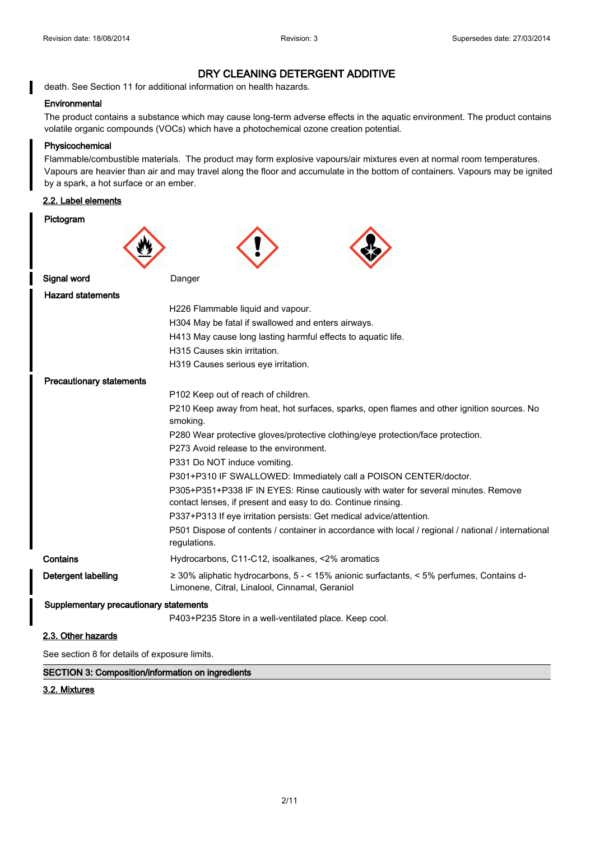# department of central nervous system causing dizziness and into a system concentration of  $\alpha$  and  $\alpha$  and at very high concentrations unconsciousness and at very high concentration of  $\alpha$

death. See Section 11 for additional information on health hazards.

### **Environmental**

The product contains a substance which may cause long-term adverse effects in the aquatic environment. The product contains volatile organic compounds (VOCs) which have a photochemical ozone creation potential.

### **Physicochemical**

Flammable/combustible materials. The product may form explosive vapours/air mixtures even at normal room temperatures. Vapours are heavier than air and may travel along the floor and accumulate in the bottom of containers. Vapours may be ignited by a spark, a hot surface or an ember.

# **2.2. Label elements**

| Pictogram                              |                                                                                                                                                    |  |
|----------------------------------------|----------------------------------------------------------------------------------------------------------------------------------------------------|--|
|                                        |                                                                                                                                                    |  |
|                                        |                                                                                                                                                    |  |
|                                        |                                                                                                                                                    |  |
| Signal word                            | Danger                                                                                                                                             |  |
| <b>Hazard statements</b>               |                                                                                                                                                    |  |
|                                        | H226 Flammable liquid and vapour.                                                                                                                  |  |
|                                        | H304 May be fatal if swallowed and enters airways.                                                                                                 |  |
|                                        | H413 May cause long lasting harmful effects to aquatic life.                                                                                       |  |
|                                        | H315 Causes skin irritation.                                                                                                                       |  |
|                                        | H319 Causes serious eye irritation.                                                                                                                |  |
| <b>Precautionary statements</b>        |                                                                                                                                                    |  |
|                                        | P102 Keep out of reach of children.                                                                                                                |  |
|                                        | P210 Keep away from heat, hot surfaces, sparks, open flames and other ignition sources. No                                                         |  |
|                                        | smoking.                                                                                                                                           |  |
|                                        | P280 Wear protective gloves/protective clothing/eye protection/face protection.                                                                    |  |
| P273 Avoid release to the environment. |                                                                                                                                                    |  |
|                                        | P331 Do NOT induce vomiting.                                                                                                                       |  |
|                                        | P301+P310 IF SWALLOWED: Immediately call a POISON CENTER/doctor.                                                                                   |  |
|                                        | P305+P351+P338 IF IN EYES: Rinse cautiously with water for several minutes. Remove<br>contact lenses, if present and easy to do. Continue rinsing. |  |
|                                        | P337+P313 If eye irritation persists: Get medical advice/attention.                                                                                |  |
|                                        | P501 Dispose of contents / container in accordance with local / regional / national / international<br>regulations.                                |  |
| Contains                               | Hydrocarbons, C11-C12, isoalkanes, <2% aromatics                                                                                                   |  |
| Detergent labelling                    | $\geq$ 30% aliphatic hydrocarbons, 5 - < 15% anionic surfactants, < 5% perfumes, Contains d-<br>Limonene, Citral, Linalool, Cinnamal, Geraniol     |  |
| Supplementary precautionary statements |                                                                                                                                                    |  |
|                                        | P403+P235 Store in a well-ventilated place. Keep cool.                                                                                             |  |
| 2.3. Other hazards                     |                                                                                                                                                    |  |

See section 8 for details of exposure limits.

**SECTION 3: Composition/information on ingredients**

# **3.2. Mixtures**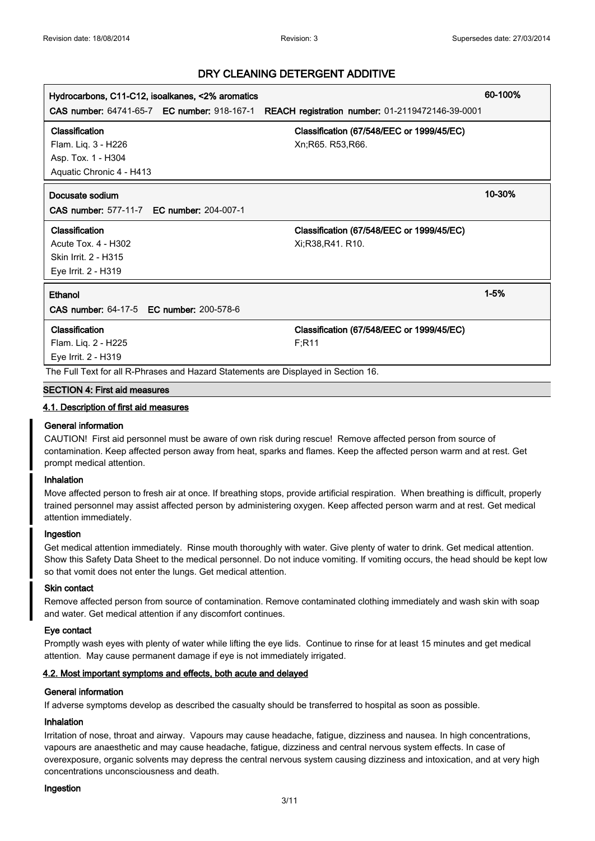| Hydrocarbons, C11-C12, isoalkanes, <2% aromatics                                   |                                                  | 60-100%  |
|------------------------------------------------------------------------------------|--------------------------------------------------|----------|
| <b>CAS number: 64741-65-7 EC number: 918-167-1</b>                                 | REACH registration number: 01-2119472146-39-0001 |          |
| Classification                                                                     | Classification (67/548/EEC or 1999/45/EC)        |          |
| Flam. Liq. 3 - H226                                                                | Xn; R65. R53, R66.                               |          |
| Asp. Tox. 1 - H304                                                                 |                                                  |          |
| Aquatic Chronic 4 - H413                                                           |                                                  |          |
| Docusate sodium                                                                    |                                                  | 10-30%   |
| <b>CAS number: 577-11-7 EC number: 204-007-1</b>                                   |                                                  |          |
| Classification                                                                     | Classification (67/548/EEC or 1999/45/EC)        |          |
| Acute Tox. 4 - H302                                                                | Xi:R38,R41. R10.                                 |          |
| Skin Irrit. 2 - H315                                                               |                                                  |          |
| Eye Irrit. 2 - H319                                                                |                                                  |          |
| Ethanol                                                                            |                                                  | $1 - 5%$ |
| <b>CAS number: 64-17-5 EC number: 200-578-6</b>                                    |                                                  |          |
| Classification                                                                     | Classification (67/548/EEC or 1999/45/EC)        |          |
| Flam. Liq. 2 - H225                                                                | F:R11                                            |          |
| Eye Irrit. 2 - H319                                                                |                                                  |          |
| The Full Text for all R-Phrases and Hazard Statements are Displayed in Section 16. |                                                  |          |

### **SECTION 4: First aid measures**

### **4.1. Description of first aid measures**

### **General information**

CAUTION! First aid personnel must be aware of own risk during rescue! Remove affected person from source of contamination. Keep affected person away from heat, sparks and flames. Keep the affected person warm and at rest. Get prompt medical attention.

# **Inhalation**

Move affected person to fresh air at once. If breathing stops, provide artificial respiration. When breathing is difficult, properly trained personnel may assist affected person by administering oxygen. Keep affected person warm and at rest. Get medical attention immediately.

### **Ingestion**

Get medical attention immediately. Rinse mouth thoroughly with water. Give plenty of water to drink. Get medical attention. Show this Safety Data Sheet to the medical personnel. Do not induce vomiting. If vomiting occurs, the head should be kept low so that vomit does not enter the lungs. Get medical attention.

### **Skin contact**

Remove affected person from source of contamination. Remove contaminated clothing immediately and wash skin with soap and water. Get medical attention if any discomfort continues.

### **Eye contact**

Promptly wash eyes with plenty of water while lifting the eye lids. Continue to rinse for at least 15 minutes and get medical attention. May cause permanent damage if eye is not immediately irrigated.

# **4.2. Most important symptoms and effects, both acute and delayed**

### **General information**

If adverse symptoms develop as described the casualty should be transferred to hospital as soon as possible.

# **Inhalation**

Irritation of nose, throat and airway. Vapours may cause headache, fatigue, dizziness and nausea. In high concentrations, vapours are anaesthetic and may cause headache, fatigue, dizziness and central nervous system effects. In case of overexposure, organic solvents may depress the central nervous system causing dizziness and intoxication, and at very high concentrations unconsciousness and death.

#### **Ingestion**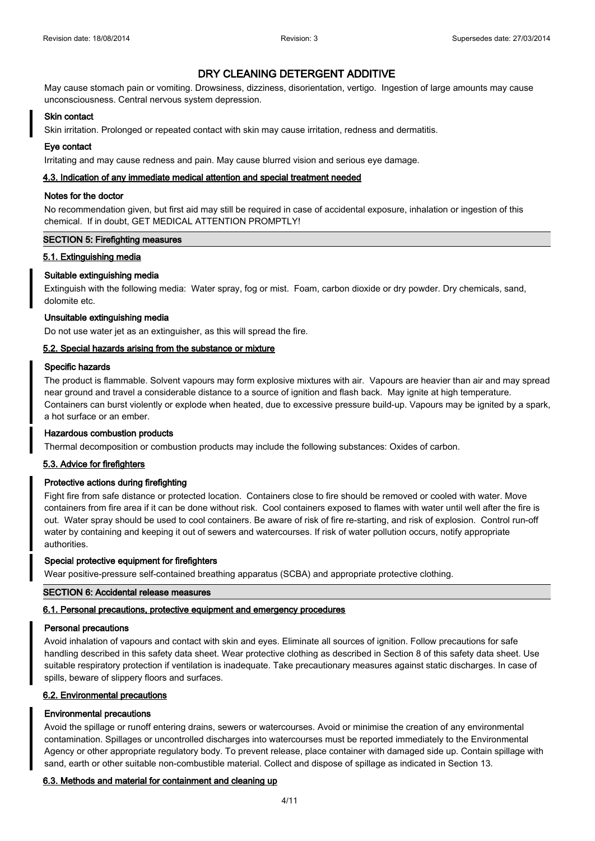May cause stomach pain or vomiting. Drowsiness, dizziness, disorientation, vertigo. Ingestion of large amounts may cause unconsciousness. Central nervous system depression.

### **Skin contact**

Skin irritation. Prolonged or repeated contact with skin may cause irritation, redness and dermatitis.

# **Eye contact**

Irritating and may cause redness and pain. May cause blurred vision and serious eye damage.

# **4.3. Indication of any immediate medical attention and special treatment needed**

### **Notes for the doctor**

No recommendation given, but first aid may still be required in case of accidental exposure, inhalation or ingestion of this chemical. If in doubt, GET MEDICAL ATTENTION PROMPTLY!

### **SECTION 5: Firefighting measures**

### **5.1. Extinguishing media**

# **Suitable extinguishing media**

Extinguish with the following media: Water spray, fog or mist. Foam, carbon dioxide or dry powder. Dry chemicals, sand, dolomite etc.

### **Unsuitable extinguishing media**

Do not use water jet as an extinguisher, as this will spread the fire.

### **5.2. Special hazards arising from the substance or mixture**

### **Specific hazards**

The product is flammable. Solvent vapours may form explosive mixtures with air. Vapours are heavier than air and may spread near ground and travel a considerable distance to a source of ignition and flash back. May ignite at high temperature. Containers can burst violently or explode when heated, due to excessive pressure build-up. Vapours may be ignited by a spark, a hot surface or an ember.

# **Hazardous combustion products**

Thermal decomposition or combustion products may include the following substances: Oxides of carbon.

# **5.3. Advice for firefighters**

# **Protective actions during firefighting**

Fight fire from safe distance or protected location. Containers close to fire should be removed or cooled with water. Move containers from fire area if it can be done without risk. Cool containers exposed to flames with water until well after the fire is out. Water spray should be used to cool containers. Be aware of risk of fire re-starting, and risk of explosion. Control run-off water by containing and keeping it out of sewers and watercourses. If risk of water pollution occurs, notify appropriate authorities.

### **Special protective equipment for firefighters**

Wear positive-pressure self-contained breathing apparatus (SCBA) and appropriate protective clothing.

### **SECTION 6: Accidental release measures**

# **6.1. Personal precautions, protective equipment and emergency procedures**

# **Personal precautions**

Avoid inhalation of vapours and contact with skin and eyes. Eliminate all sources of ignition. Follow precautions for safe handling described in this safety data sheet. Wear protective clothing as described in Section 8 of this safety data sheet. Use suitable respiratory protection if ventilation is inadequate. Take precautionary measures against static discharges. In case of spills, beware of slippery floors and surfaces.

# **6.2. Environmental precautions**

# **Environmental precautions**

Avoid the spillage or runoff entering drains, sewers or watercourses. Avoid or minimise the creation of any environmental contamination. Spillages or uncontrolled discharges into watercourses must be reported immediately to the Environmental Agency or other appropriate regulatory body. To prevent release, place container with damaged side up. Contain spillage with sand, earth or other suitable non-combustible material. Collect and dispose of spillage as indicated in Section 13.

# **6.3. Methods and material for containment and cleaning up**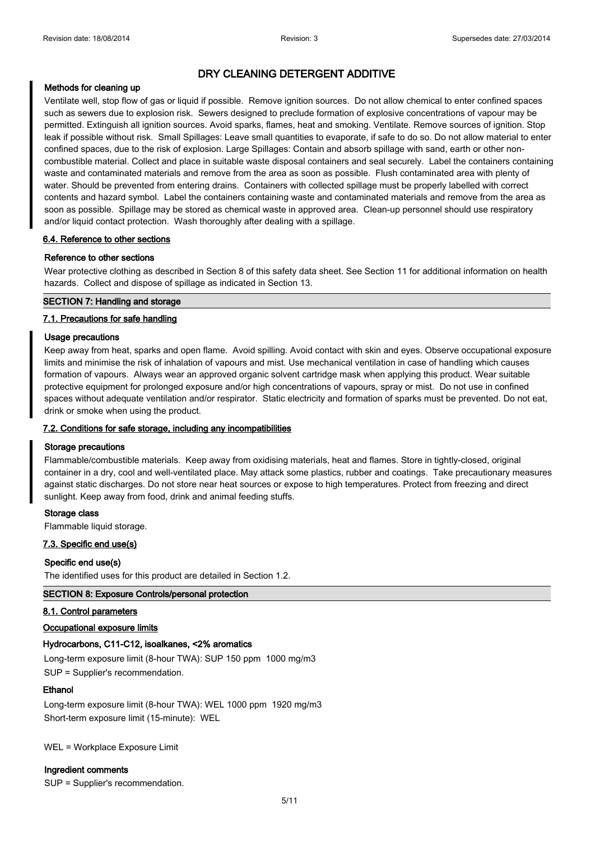### **Methods for cleaning up**

Ventilate well, stop flow of gas or liquid if possible. Remove ignition sources. Do not allow chemical to enter confined spaces such as sewers due to explosion risk. Sewers designed to preclude formation of explosive concentrations of vapour may be permitted. Extinguish all ignition sources. Avoid sparks, flames, heat and smoking. Ventilate. Remove sources of ignition. Stop leak if possible without risk. Small Spillages: Leave small quantities to evaporate, if safe to do so. Do not allow material to enter confined spaces, due to the risk of explosion. Large Spillages: Contain and absorb spillage with sand, earth or other noncombustible material. Collect and place in suitable waste disposal containers and seal securely. Label the containers containing waste and contaminated materials and remove from the area as soon as possible. Flush contaminated area with plenty of water. Should be prevented from entering drains. Containers with collected spillage must be properly labelled with correct contents and hazard symbol. Label the containers containing waste and contaminated materials and remove from the area as soon as possible. Spillage may be stored as chemical waste in approved area. Clean-up personnel should use respiratory and/or liquid contact protection. Wash thoroughly after dealing with a spillage.

### **6.4. Reference to other sections**

### **Reference to other sections**

Wear protective clothing as described in Section 8 of this safety data sheet. See Section 11 for additional information on health hazards. Collect and dispose of spillage as indicated in Section 13.

### **SECTION 7: Handling and storage**

### **7.1. Precautions for safe handling**

### **Usage precautions**

Keep away from heat, sparks and open flame. Avoid spilling. Avoid contact with skin and eyes. Observe occupational exposure limits and minimise the risk of inhalation of vapours and mist. Use mechanical ventilation in case of handling which causes formation of vapours. Always wear an approved organic solvent cartridge mask when applying this product. Wear suitable protective equipment for prolonged exposure and/or high concentrations of vapours, spray or mist. Do not use in confined spaces without adequate ventilation and/or respirator. Static electricity and formation of sparks must be prevented. Do not eat, drink or smoke when using the product.

# **7.2. Conditions for safe storage, including any incompatibilities**

### **Storage precautions**

Flammable/combustible materials. Keep away from oxidising materials, heat and flames. Store in tightly-closed, original container in a dry, cool and well-ventilated place. May attack some plastics, rubber and coatings. Take precautionary measures against static discharges. Do not store near heat sources or expose to high temperatures. Protect from freezing and direct sunlight. Keep away from food, drink and animal feeding stuffs.

### **Storage class**

Flammable liquid storage.

### **7.3. Specific end use(s)**

# **Specific end use(s)**

The identified uses for this product are detailed in Section 1.2.

### **SECTION 8: Exposure Controls/personal protection**

### **8.1. Control parameters**

**Occupational exposure limits**

### **Hydrocarbons, C11-C12, isoalkanes, <2% aromatics**

Long-term exposure limit (8-hour TWA): SUP 150 ppm 1000 mg/m3 SUP = Supplier's recommendation.

### **Ethanol**

Long-term exposure limit (8-hour TWA): WEL 1000 ppm 1920 mg/m3 Short-term exposure limit (15-minute): WEL

WEL = Workplace Exposure Limit

### **Ingredient comments**

SUP = Supplier's recommendation.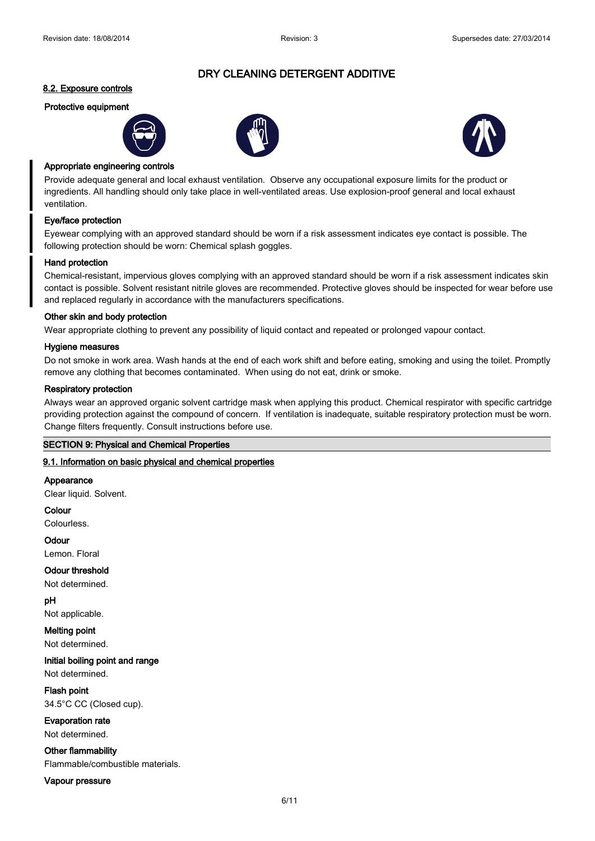# **8.2. Exposure controls**

# **Protective equipment**







### **Appropriate engineering controls**

Provide adequate general and local exhaust ventilation. Observe any occupational exposure limits for the product or ingredients. All handling should only take place in well-ventilated areas. Use explosion-proof general and local exhaust ventilation.

### **Eye/face protection**

Eyewear complying with an approved standard should be worn if a risk assessment indicates eye contact is possible. The following protection should be worn: Chemical splash goggles.

#### **Hand protection**

Chemical-resistant, impervious gloves complying with an approved standard should be worn if a risk assessment indicates skin contact is possible. Solvent resistant nitrile gloves are recommended. Protective gloves should be inspected for wear before use and replaced regularly in accordance with the manufacturers specifications.

#### **Other skin and body protection**

Wear appropriate clothing to prevent any possibility of liquid contact and repeated or prolonged vapour contact.

#### **Hygiene measures**

Do not smoke in work area. Wash hands at the end of each work shift and before eating, smoking and using the toilet. Promptly remove any clothing that becomes contaminated. When using do not eat, drink or smoke.

#### **Respiratory protection**

Always wear an approved organic solvent cartridge mask when applying this product. Chemical respirator with specific cartridge providing protection against the compound of concern. If ventilation is inadequate, suitable respiratory protection must be worn. Change filters frequently. Consult instructions before use.

### **SECTION 9: Physical and Chemical Properties**

### **9.1. Information on basic physical and chemical properties**

### **Appearance**

Clear liquid. Solvent.

**Colour**

Colourless.

# **Odour**

Lemon. Floral

**Odour threshold** Not determined.

**pH** Not applicable.

**Melting point**

Not determined.

**Initial boiling point and range** Not determined.

**Flash point** 34.5°C CC (Closed cup).

**Evaporation rate**

Not determined.

**Other flammability**

Flammable/combustible materials.

**Vapour pressure**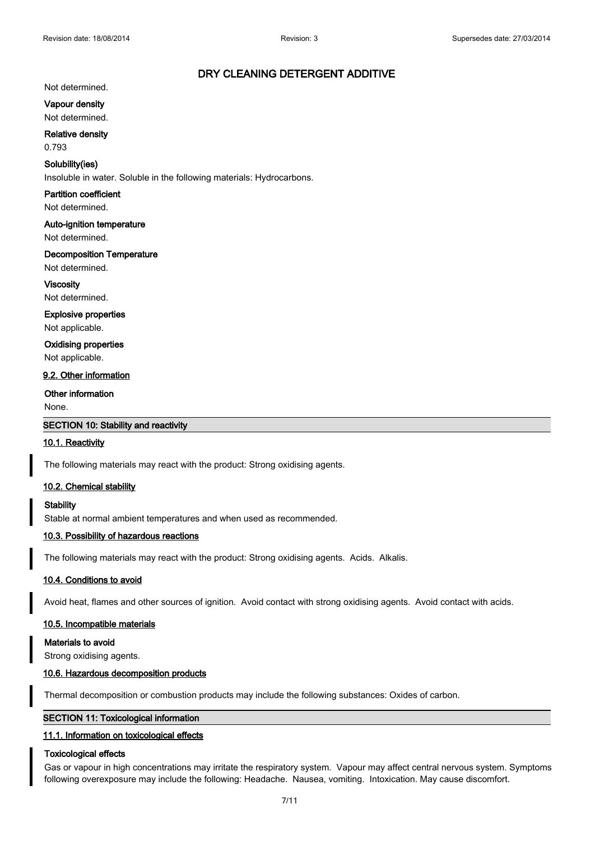### Not determined.

**Vapour density**

Not determined.

# **Relative density**

0.793

### **Solubility(ies)**

Insoluble in water. Soluble in the following materials: Hydrocarbons.

# **Partition coefficient**

Not determined.

# **Auto-ignition temperature**

Not determined.

# **Decomposition Temperature**

Not determined.

### **Viscosity**

Not determined.

# **Explosive properties**

Not applicable.

# **Oxidising properties**

Not applicable.

# **9.2. Other information**

# **Other information**

None.

# **SECTION 10: Stability and reactivity**

### **10.1. Reactivity**

The following materials may react with the product: Strong oxidising agents.

# **10.2. Chemical stability**

### **Stability**

Stable at normal ambient temperatures and when used as recommended.

### **10.3. Possibility of hazardous reactions**

The following materials may react with the product: Strong oxidising agents. Acids. Alkalis.

### **10.4. Conditions to avoid**

Avoid heat, flames and other sources of ignition. Avoid contact with strong oxidising agents. Avoid contact with acids.

### **10.5. Incompatible materials**

**Materials to avoid** Strong oxidising agents.

### **10.6. Hazardous decomposition products**

Thermal decomposition or combustion products may include the following substances: Oxides of carbon.

### **SECTION 11: Toxicological information**

### **11.1. Information on toxicological effects**

### **Toxicological effects**

Gas or vapour in high concentrations may irritate the respiratory system. Vapour may affect central nervous system. Symptoms following overexposure may include the following: Headache. Nausea, vomiting. Intoxication. May cause discomfort.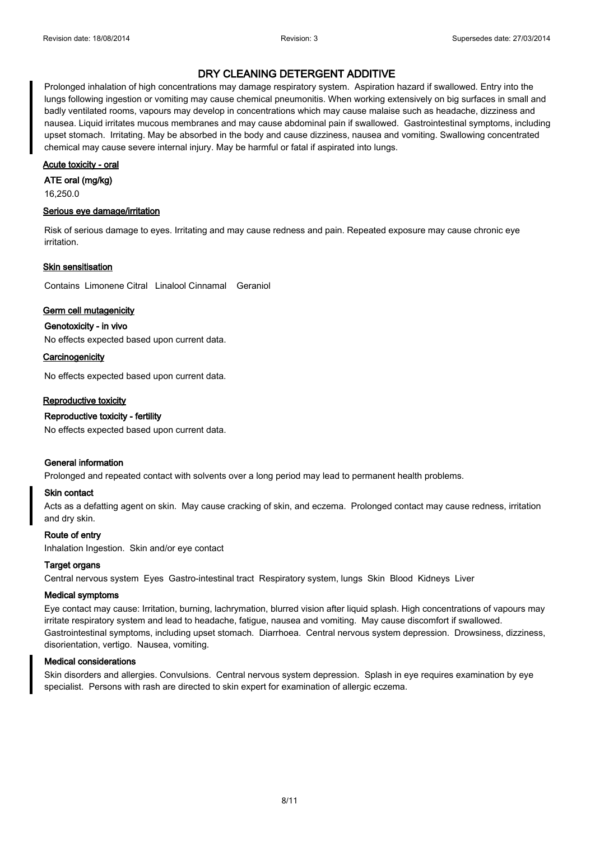# **EXECUTE OUT INCLUDE THE FOLLOWING DETERGENT ADDITIVE.** The following over the following. In the following of the following. In the following of the following. In the following of the following of the following of the foll

Prolonged inhalation of high concentrations may damage respiratory system. Aspiration hazard if swallowed. Entry into the lungs following ingestion or vomiting may cause chemical pneumonitis. When working extensively on big surfaces in small and badly ventilated rooms, vapours may develop in concentrations which may cause malaise such as headache, dizziness and nausea. Liquid irritates mucous membranes and may cause abdominal pain if swallowed. Gastrointestinal symptoms, including upset stomach. Irritating. May be absorbed in the body and cause dizziness, nausea and vomiting. Swallowing concentrated chemical may cause severe internal injury. May be harmful or fatal if aspirated into lungs.

### **Acute toxicity - oral**

### **ATE oral (mg/kg)**

16,250.0

# **Serious eye damage/irritation**

Risk of serious damage to eyes. Irritating and may cause redness and pain. Repeated exposure may cause chronic eye irritation.

#### **Skin sensitisation**

Contains Limonene Citral Linalool Cinnamal Geraniol

### **Germ cell mutagenicity**

**Genotoxicity - in vivo**

No effects expected based upon current data.

**Carcinogenicity**

No effects expected based upon current data.

### **Reproductive toxicity**

# **Reproductive toxicity - fertility**

No effects expected based upon current data.

### **General information**

Prolonged and repeated contact with solvents over a long period may lead to permanent health problems.

### **Skin contact**

Acts as a defatting agent on skin. May cause cracking of skin, and eczema. Prolonged contact may cause redness, irritation and dry skin.

### **Route of entry**

Inhalation Ingestion. Skin and/or eye contact

### **Target organs**

Central nervous system Eyes Gastro-intestinal tract Respiratory system, lungs Skin Blood Kidneys Liver

#### **Medical symptoms**

Eye contact may cause: Irritation, burning, lachrymation, blurred vision after liquid splash. High concentrations of vapours may irritate respiratory system and lead to headache, fatigue, nausea and vomiting. May cause discomfort if swallowed. Gastrointestinal symptoms, including upset stomach. Diarrhoea. Central nervous system depression. Drowsiness, dizziness, disorientation, vertigo. Nausea, vomiting.

### **Medical considerations**

Skin disorders and allergies. Convulsions. Central nervous system depression. Splash in eye requires examination by eye specialist. Persons with rash are directed to skin expert for examination of allergic eczema.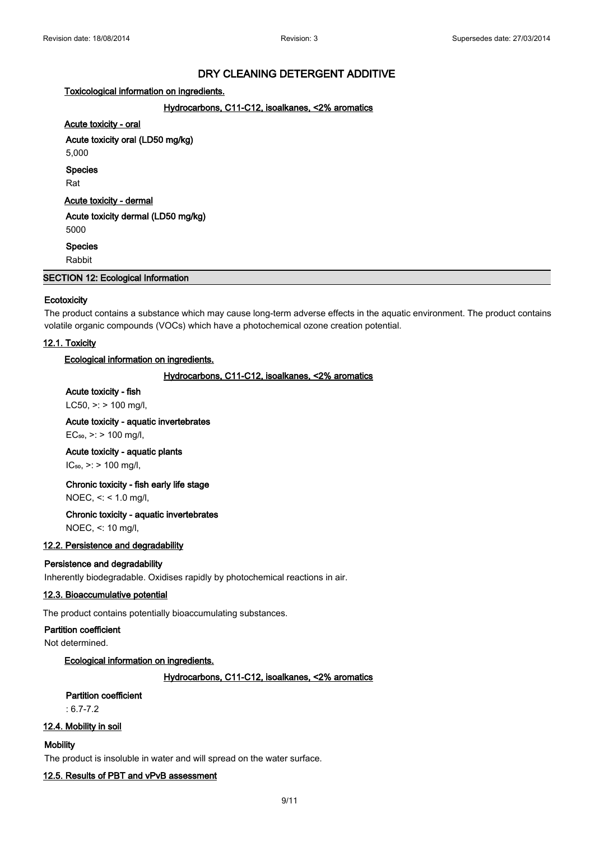# **Toxicological information on ingredients.**

# **Hydrocarbons, C11-C12, isoalkanes, <2% aromatics**

# **Acute toxicity - oral**

**Acute toxicity oral (LD50 mg/kg)**

5,000

**Species**

Rat

**Acute toxicity - dermal**

**Acute toxicity dermal (LD50 mg/kg)** 5000

**Species**

Rabbit

**SECTION 12: Ecological Information**

### **Ecotoxicity**

The product contains a substance which may cause long-term adverse effects in the aquatic environment. The product contains volatile organic compounds (VOCs) which have a photochemical ozone creation potential.

# **12.1. Toxicity**

### **Ecological information on ingredients.**

### **Hydrocarbons, C11-C12, isoalkanes, <2% aromatics**

### **Acute toxicity - fish**

LC50,  $>$ : > 100 mg/l,

# **Acute toxicity - aquatic invertebrates**

 $EC_{50}$ , >: > 100 mg/l,

### **Acute toxicity - aquatic plants**

 $IC_{50}$ ,  $>$ : > 100 mg/l,

# **Chronic toxicity - fish early life stage**

NOEC, <: < 1.0 mg/l,

# **Chronic toxicity - aquatic invertebrates**

NOEC, <: 10 mg/l,

# **12.2. Persistence and degradability**

### **Persistence and degradability**

Inherently biodegradable. Oxidises rapidly by photochemical reactions in air.

### **12.3. Bioaccumulative potential**

The product contains potentially bioaccumulating substances.

### **Partition coefficient**

Not determined.

# **Ecological information on ingredients.**

# **Hydrocarbons, C11-C12, isoalkanes, <2% aromatics**

# **Partition coefficient**

: 6.7-7.2

### **12.4. Mobility in soil**

**Mobility**

The product is insoluble in water and will spread on the water surface.

### **12.5. Results of PBT and vPvB assessment**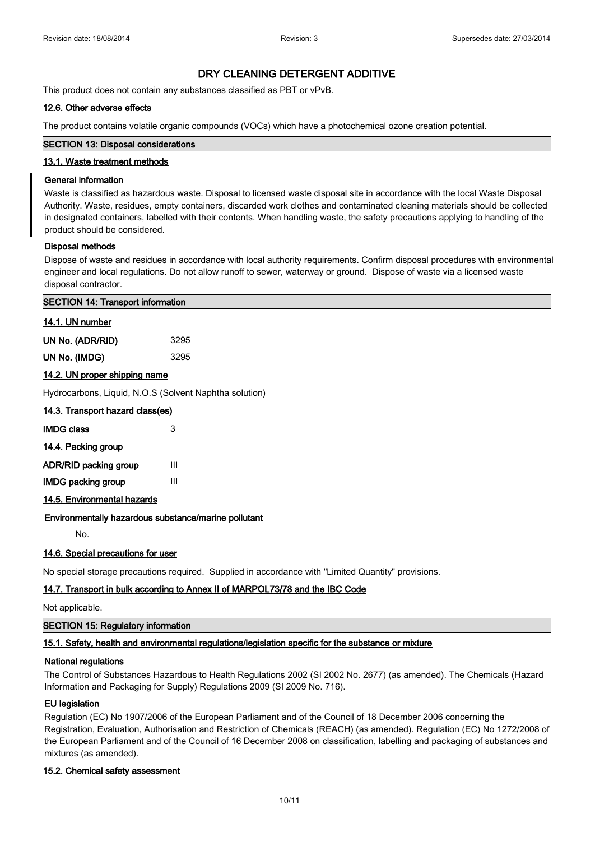This product does not contain any substances classified as PBT or vPvB.

# **12.6. Other adverse effects**

The product contains volatile organic compounds (VOCs) which have a photochemical ozone creation potential.

# **SECTION 13: Disposal considerations**

# **13.1. Waste treatment methods**

# **General information**

Waste is classified as hazardous waste. Disposal to licensed waste disposal site in accordance with the local Waste Disposal Authority. Waste, residues, empty containers, discarded work clothes and contaminated cleaning materials should be collected in designated containers, labelled with their contents. When handling waste, the safety precautions applying to handling of the product should be considered.

### **Disposal methods**

Dispose of waste and residues in accordance with local authority requirements. Confirm disposal procedures with environmental engineer and local regulations. Do not allow runoff to sewer, waterway or ground. Dispose of waste via a licensed waste disposal contractor.

# **SECTION 14: Transport information**

| 14.1. UN number  |      |
|------------------|------|
| UN No. (ADR/RID) | 3295 |
| UN No. (IMDG)    | 3295 |

### **14.2. UN proper shipping name**

Hydrocarbons, Liquid, N.O.S (Solvent Naphtha solution)

| 14.3. Transport hazard class(es) |   |
|----------------------------------|---|
| <b>IMDG class</b>                | 3 |
| 14.4. Packing group              |   |
| ADR/RID packing group            | Ш |
| <b>IMDG packing group</b>        | Ш |
| 14.5. Environmental hazards      |   |

# **Environmentally hazardous substance/marine pollutant**

No.

# **14.6. Special precautions for user**

No special storage precautions required. Supplied in accordance with "Limited Quantity" provisions.

# **14.7. Transport in bulk according to Annex II of MARPOL73/78 and the IBC Code**

Not applicable.

# **SECTION 15: Regulatory information**

# **15.1. Safety, health and environmental regulations/legislation specific for the substance or mixture**

### **National regulations**

The Control of Substances Hazardous to Health Regulations 2002 (SI 2002 No. 2677) (as amended). The Chemicals (Hazard Information and Packaging for Supply) Regulations 2009 (SI 2009 No. 716).

# **EU legislation**

Regulation (EC) No 1907/2006 of the European Parliament and of the Council of 18 December 2006 concerning the Registration, Evaluation, Authorisation and Restriction of Chemicals (REACH) (as amended). Regulation (EC) No 1272/2008 of the European Parliament and of the Council of 16 December 2008 on classification, labelling and packaging of substances and mixtures (as amended).

### **15.2. Chemical safety assessment**